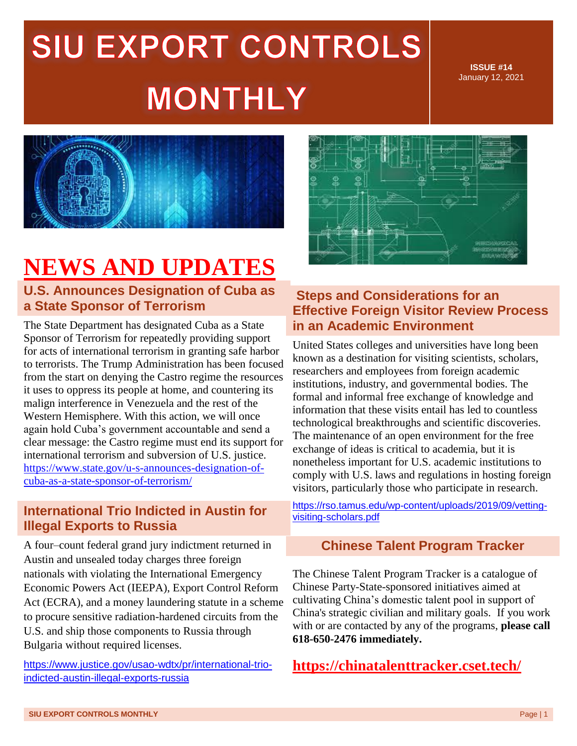**ISSUE #14** January 12, 2021



## **NEWS AND UPDATES**

#### **U.S. Announces Designation of Cuba as a State Sponsor of Terrorism**

The State Department has designated Cuba as a State Sponsor of Terrorism for repeatedly providing support for acts of international terrorism in granting safe harbor to terrorists. The Trump Administration has been focused from the start on denying the Castro regime the resources it uses to oppress its people at home, and countering its malign interference in Venezuela and the rest of the Western Hemisphere. With this action, we will once again hold Cuba's government accountable and send a clear message: the Castro regime must end its support for international terrorism and subversion of U.S. justice. [https://www.state.gov/u-s-announces-designation-of](https://www.state.gov/u-s-announces-designation-of-cuba-as-a-state-sponsor-of-terrorism/)[cuba-as-a-state-sponsor-of-terrorism/](https://www.state.gov/u-s-announces-designation-of-cuba-as-a-state-sponsor-of-terrorism/)

#### **International Trio Indicted in Austin for Illegal Exports to Russia**

A four–count federal grand jury indictment returned in Austin and unsealed today charges three foreign nationals with violating the International Emergency Economic Powers Act (IEEPA), Export Control Reform Act (ECRA), and a money laundering statute in a scheme to procure sensitive radiation-hardened circuits from the U.S. and ship those components to Russia through Bulgaria without required licenses.

https://www.justice.gov/usao-wdtx/pr/international-trioindicted-austin-illegal-exports-russia



### **Steps and Considerations for an Effective Foreign Visitor Review Process in an Academic Environment**

United States colleges and universities have long been known as a destination for visiting scientists, scholars, researchers and employees from foreign academic institutions, industry, and governmental bodies. The formal and informal free exchange of knowledge and information that these visits entail has led to countless technological breakthroughs and scientific discoveries. The maintenance of an open environment for the free exchange of ideas is critical to academia, but it is nonetheless important for U.S. academic institutions to comply with U.S. laws and regulations in hosting foreign visitors, particularly those who participate in research.

[https://rso.tamus.edu/wp-content/uploads/2019/09/vetting](https://rso.tamus.edu/wp-content/uploads/2019/09/vetting-visiting-scholars.pdf)[visiting-scholars.pdf](https://rso.tamus.edu/wp-content/uploads/2019/09/vetting-visiting-scholars.pdf)

#### **Chinese Talent Program Tracker**

The Chinese Talent Program Tracker is a catalogue of Chinese Party-State-sponsored initiatives aimed at cultivating China's domestic talent pool in support of China's strategic civilian and military goals. If you work with or are contacted by any of the programs, **please call 618-650-2476 immediately.**

```
https://chinatalenttracker.cset.tech/
```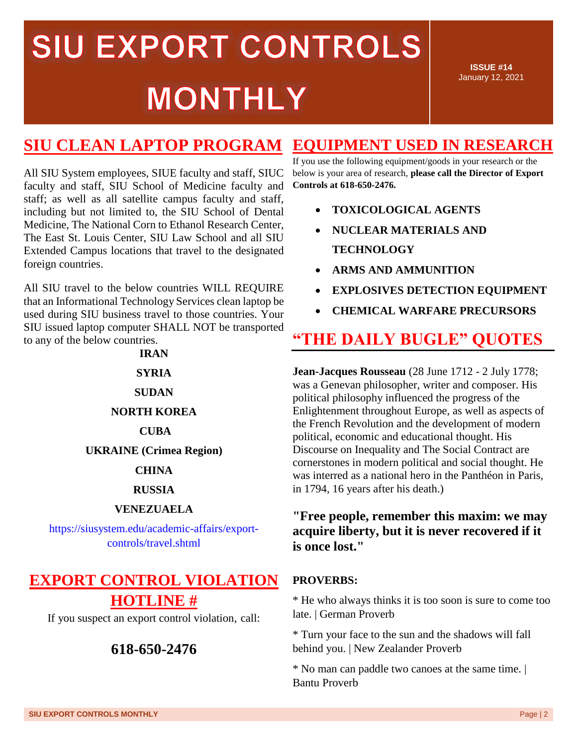**ISSUE #14** January 12, 2021

## **SIU CLEAN LAPTOP PROGRAM**

All SIU System employees, SIUE faculty and staff, SIUC faculty and staff, SIU School of Medicine faculty and staff; as well as all satellite campus faculty and staff, including but not limited to, the SIU School of Dental Medicine, The National Corn to Ethanol Research Center, The East St. Louis Center, SIU Law School and all SIU Extended Campus locations that travel to the designated foreign countries.

All SIU travel to the below countries WILL REQUIRE that an Informational Technology Services clean laptop be used during SIU business travel to those countries. Your SIU issued laptop computer SHALL NOT be transported to any of the below countries.

#### **IRAN**

#### **SYRIA**

#### **SUDAN**

#### **NORTH KOREA**

#### **CUBA**

**UKRAINE (Crimea Region)** 

#### **CHINA**

#### **RUSSIA**

#### **VENEZUAELA**

[https://siusystem.edu/academic-affairs/export](https://siusystem.edu/academic-affairs/export-controls/travel.shtml)[controls/travel.shtml](https://siusystem.edu/academic-affairs/export-controls/travel.shtml)

## **EXPORT CONTROL VIOLATION HOTLINE #**

If you suspect an export control violation, call:

### **618-650-2476**

## **EQUIPMENT USED IN RESEARCH**

If you use the following equipment/goods in your research or the below is your area of research, **please call the Director of Export Controls at 618-650-2476.**

- **TOXICOLOGICAL AGENTS**
- **NUCLEAR MATERIALS AND TECHNOLOGY**
- **ARMS AND AMMUNITION**
- **EXPLOSIVES DETECTION EQUIPMENT**
- **CHEMICAL WARFARE PRECURSORS**

## **"THE DAILY BUGLE" QUOTES**

**Jean-Jacques Rousseau** (28 June 1712 - 2 July 1778; was a Genevan philosopher, writer and composer. His political philosophy influenced the progress of the Enlightenment throughout Europe, as well as aspects of the French Revolution and the development of modern political, economic and educational thought. His Discourse on Inequality and The Social Contract are cornerstones in modern political and social thought. He was interred as a national hero in the Panthéon in Paris, in 1794, 16 years after his death.)

#### **"Free people, remember this maxim: we may acquire liberty, but it is never recovered if it is once lost."**

#### **PROVERBS:**

\* He who always thinks it is too soon is sure to come too late. | German Proverb

\* Turn your face to the sun and the shadows will fall behind you. | New Zealander Proverb

\* No man can paddle two canoes at the same time. | Bantu Proverb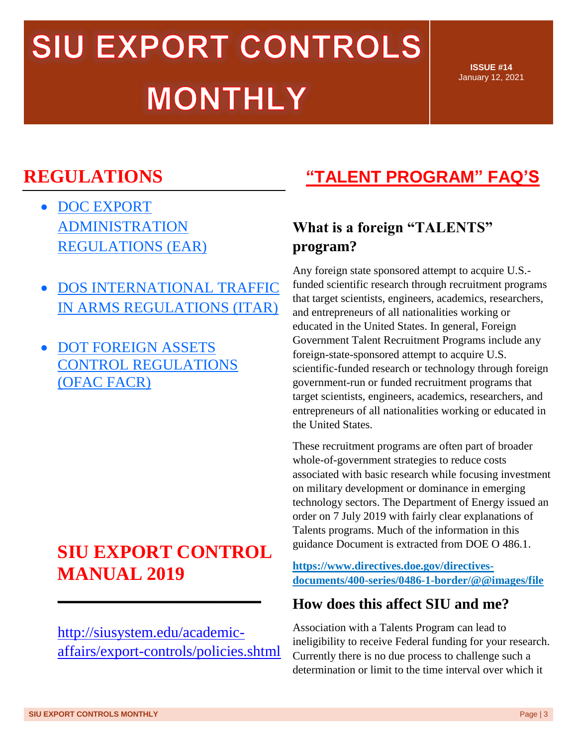**ISSUE #14** January 12, 2021

## **REGULATIONS**

- DOC EXPORT [ADMINISTRATION](http://r20.rs6.net/tn.jsp?f=001UiHfviR9AjzumKwB5DA296Pcs6yK5VFWkIY7zDNf4UhkYcLg0Ykx7x5Br_iW1z2jad3mY_nSorxjo6OqBhsiRU3N1bnrm6a-ED5Z44cejW0x_qv9Z1Cal-LcFEv0jPWBOkfAauZtA934rObCAtGQJbHDb3AUAwH4TniIvAAMOiUHYZowYOEGuj-KOmA-pbsDUlL6F2O_xGGXwW23gztkKl7F6UcJ-0k64pRnLDdH2ecOP_6TzEIwrO4bsWC9raGzXsTHEgDgroMVGdU1NmGRt24fEgnzgLz03dXPTuGk4LyqdUUQQLc28r7KPqITD7V1Cuj1ofXvlOk=&c=tKo3WHo58kTN8hro-5PyaFyLB5bkp8BbBMf8v3HGPsL0oZXSHxOOPQ==&ch=PAF_1B1RLLAhn-l7nADeql8X6A7bUCNPde1YV3IVYVzcHONHm8tbFQ==)  [REGULATIONS \(EAR\)](http://r20.rs6.net/tn.jsp?f=001UiHfviR9AjzumKwB5DA296Pcs6yK5VFWkIY7zDNf4UhkYcLg0Ykx7x5Br_iW1z2jad3mY_nSorxjo6OqBhsiRU3N1bnrm6a-ED5Z44cejW0x_qv9Z1Cal-LcFEv0jPWBOkfAauZtA934rObCAtGQJbHDb3AUAwH4TniIvAAMOiUHYZowYOEGuj-KOmA-pbsDUlL6F2O_xGGXwW23gztkKl7F6UcJ-0k64pRnLDdH2ecOP_6TzEIwrO4bsWC9raGzXsTHEgDgroMVGdU1NmGRt24fEgnzgLz03dXPTuGk4LyqdUUQQLc28r7KPqITD7V1Cuj1ofXvlOk=&c=tKo3WHo58kTN8hro-5PyaFyLB5bkp8BbBMf8v3HGPsL0oZXSHxOOPQ==&ch=PAF_1B1RLLAhn-l7nADeql8X6A7bUCNPde1YV3IVYVzcHONHm8tbFQ==)
- **DOS INTERNATIONAL TRAFFIC** [IN ARMS REGULATIONS \(ITAR\)](http://r20.rs6.net/tn.jsp?f=001UiHfviR9AjzumKwB5DA296Pcs6yK5VFWkIY7zDNf4UhkYcLg0Ykx719sHykF43nSKyeckSKdi9IMQMnPYBdvh9IjG2xQftWR9wb66nIKCDqWxtJrToZBOIX29skkrmW7Wk_PfbA_fNXxXsU9XE-nuM_93bESLLz5Gkm6OQYQY6NJ-UnhMY0JNMbS16uNUBkCNqvH_1qcVGpbzBhZpNCWC5kr92TVv33Vhd44xq3wo9NFcWSpOMmpUAG0bX2Unu21MdwwtVqwwD6qvj7xOJ_m2hpBrpTT2z3ZUtomEPK5hyc2fTHXNa3RhxNme1qhUmsE&c=tKo3WHo58kTN8hro-5PyaFyLB5bkp8BbBMf8v3HGPsL0oZXSHxOOPQ==&ch=PAF_1B1RLLAhn-l7nADeql8X6A7bUCNPde1YV3IVYVzcHONHm8tbFQ==)
- **DOT FOREIGN ASSETS** [CONTROL REGULATIONS](http://r20.rs6.net/tn.jsp?f=001UiHfviR9AjzumKwB5DA296Pcs6yK5VFWkIY7zDNf4UhkYcLg0Ykx719sHykF43nS3ksg78qR_DHKQpfvsvkpy4FAnd6mHwhdvnSGJcMIHCBcP58qaIWHyjJ95cOyyGJ0zMQ9OdU083j3p6cws-xldiqf6xgaehw6q1GMUHNhEmj7qlm8Sj94Evjdft5ZAwujlQWFV0GcbnT1vG5Wlzs4nd87XBnG2OpYh2-tuf58Py0FT_LhE8qIivZHnxsW8ZRtR_bjzBmtTyGdwyhCf0l3bJvSlrMs-f835th9LLSocF-KgXon1hfwSkPcd2MWmILR&c=tKo3WHo58kTN8hro-5PyaFyLB5bkp8BbBMf8v3HGPsL0oZXSHxOOPQ==&ch=PAF_1B1RLLAhn-l7nADeql8X6A7bUCNPde1YV3IVYVzcHONHm8tbFQ==)  [\(OFAC FACR\)](http://r20.rs6.net/tn.jsp?f=001UiHfviR9AjzumKwB5DA296Pcs6yK5VFWkIY7zDNf4UhkYcLg0Ykx719sHykF43nS3ksg78qR_DHKQpfvsvkpy4FAnd6mHwhdvnSGJcMIHCBcP58qaIWHyjJ95cOyyGJ0zMQ9OdU083j3p6cws-xldiqf6xgaehw6q1GMUHNhEmj7qlm8Sj94Evjdft5ZAwujlQWFV0GcbnT1vG5Wlzs4nd87XBnG2OpYh2-tuf58Py0FT_LhE8qIivZHnxsW8ZRtR_bjzBmtTyGdwyhCf0l3bJvSlrMs-f835th9LLSocF-KgXon1hfwSkPcd2MWmILR&c=tKo3WHo58kTN8hro-5PyaFyLB5bkp8BbBMf8v3HGPsL0oZXSHxOOPQ==&ch=PAF_1B1RLLAhn-l7nADeql8X6A7bUCNPde1YV3IVYVzcHONHm8tbFQ==)

## **SIU EXPORT CONTROL MANUAL 2019**

**\_\_\_\_\_\_\_\_\_\_\_\_\_\_\_\_\_\_\_\_\_\_\_\_**

[http://siusystem.edu/academic](http://siusystem.edu/academic-affairs/export-controls/policies.shtml)[affairs/export-controls/policies.shtml](http://siusystem.edu/academic-affairs/export-controls/policies.shtml)

## **"TALENT PROGRAM" FAQ'S**

## **What is a foreign "TALENTS" program?**

Any foreign state sponsored attempt to acquire U.S. funded scientific research through recruitment programs that target scientists, engineers, academics, researchers, and entrepreneurs of all nationalities working or educated in the United States. In general, Foreign Government Talent Recruitment Programs include any foreign-state-sponsored attempt to acquire U.S. scientific-funded research or technology through foreign government-run or funded recruitment programs that target scientists, engineers, academics, researchers, and entrepreneurs of all nationalities working or educated in the United States.

These recruitment programs are often part of broader whole-of-government strategies to reduce costs associated with basic research while focusing investment on military development or dominance in emerging technology sectors. The Department of Energy issued an order on 7 July 2019 with fairly clear explanations of Talents programs. Much of the information in this guidance Document is extracted from DOE O 486.1.

**[https://www.directives.doe.gov/directives](https://www.directives.doe.gov/directives-documents/400-series/0486-1-border/@@images/file)[documents/400-series/0486-1-border/@@images/file](https://www.directives.doe.gov/directives-documents/400-series/0486-1-border/@@images/file)**

## **How does this affect SIU and me?**

Association with a Talents Program can lead to ineligibility to receive Federal funding for your research. Currently there is no due process to challenge such a determination or limit to the time interval over which it